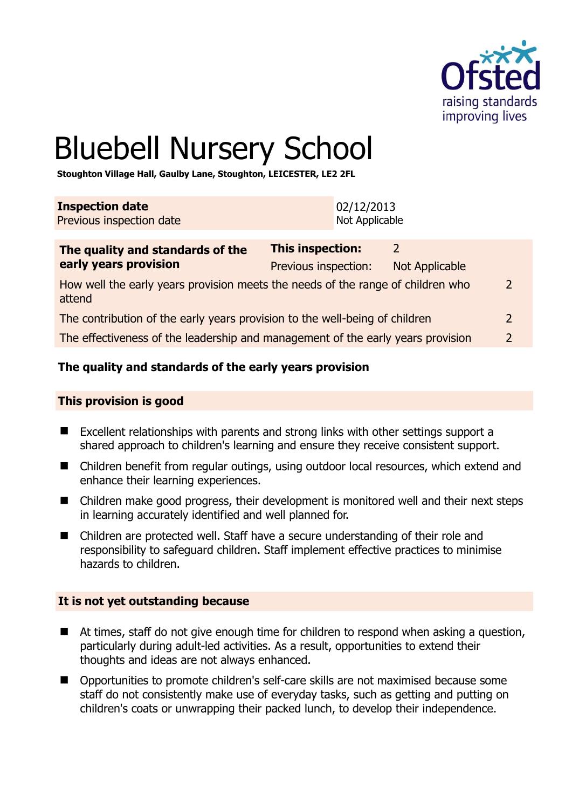

# Bluebell Nursery School

**Stoughton Village Hall, Gaulby Lane, Stoughton, LEICESTER, LE2 2FL** 

| <b>Inspection date</b>   | 02/12/2013     |
|--------------------------|----------------|
| Previous inspection date | Not Applicable |
|                          |                |

| The quality and standards of the                                                          | This inspection:     | $\mathcal{P}$         |               |
|-------------------------------------------------------------------------------------------|----------------------|-----------------------|---------------|
| early years provision                                                                     | Previous inspection: | <b>Not Applicable</b> |               |
| How well the early years provision meets the needs of the range of children who<br>attend |                      |                       |               |
| The contribution of the early years provision to the well-being of children               |                      |                       |               |
| The effectiveness of the leadership and management of the early years provision           |                      |                       | $\mathcal{D}$ |
|                                                                                           |                      |                       |               |

# **The quality and standards of the early years provision**

#### **This provision is good**

- Excellent relationships with parents and strong links with other settings support a shared approach to children's learning and ensure they receive consistent support.
- Children benefit from regular outings, using outdoor local resources, which extend and enhance their learning experiences.
- Children make good progress, their development is monitored well and their next steps in learning accurately identified and well planned for.
- Children are protected well. Staff have a secure understanding of their role and responsibility to safeguard children. Staff implement effective practices to minimise hazards to children.

#### **It is not yet outstanding because**

- At times, staff do not give enough time for children to respond when asking a question, particularly during adult-led activities. As a result, opportunities to extend their thoughts and ideas are not always enhanced.
- Opportunities to promote children's self-care skills are not maximised because some staff do not consistently make use of everyday tasks, such as getting and putting on children's coats or unwrapping their packed lunch, to develop their independence.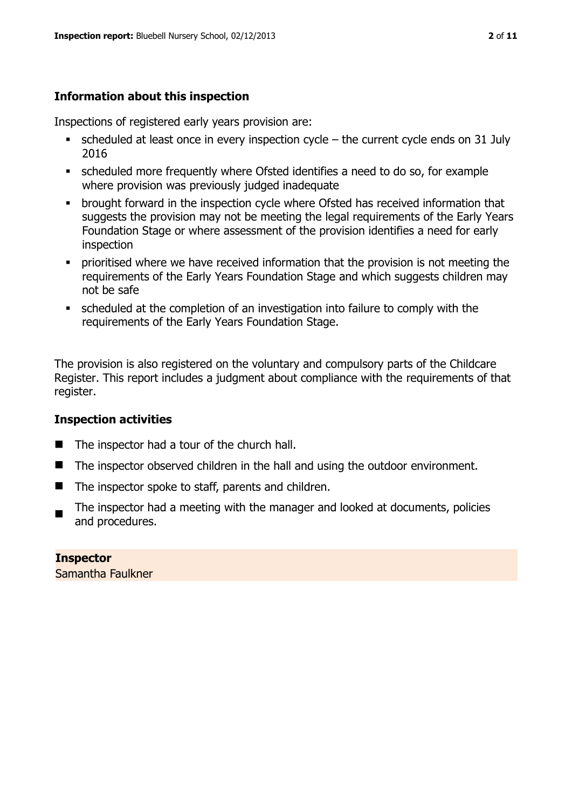# **Information about this inspection**

Inspections of registered early years provision are:

- $\bullet$  scheduled at least once in every inspection cycle the current cycle ends on 31 July 2016
- scheduled more frequently where Ofsted identifies a need to do so, for example where provision was previously judged inadequate
- **•** brought forward in the inspection cycle where Ofsted has received information that suggests the provision may not be meeting the legal requirements of the Early Years Foundation Stage or where assessment of the provision identifies a need for early inspection
- **•** prioritised where we have received information that the provision is not meeting the requirements of the Early Years Foundation Stage and which suggests children may not be safe
- scheduled at the completion of an investigation into failure to comply with the requirements of the Early Years Foundation Stage.

The provision is also registered on the voluntary and compulsory parts of the Childcare Register. This report includes a judgment about compliance with the requirements of that register.

# **Inspection activities**

- The inspector had a tour of the church hall.
- The inspector observed children in the hall and using the outdoor environment.
- The inspector spoke to staff, parents and children.
- The inspector had a meeting with the manager and looked at documents, policies and procedures.

**Inspector**  Samantha Faulkner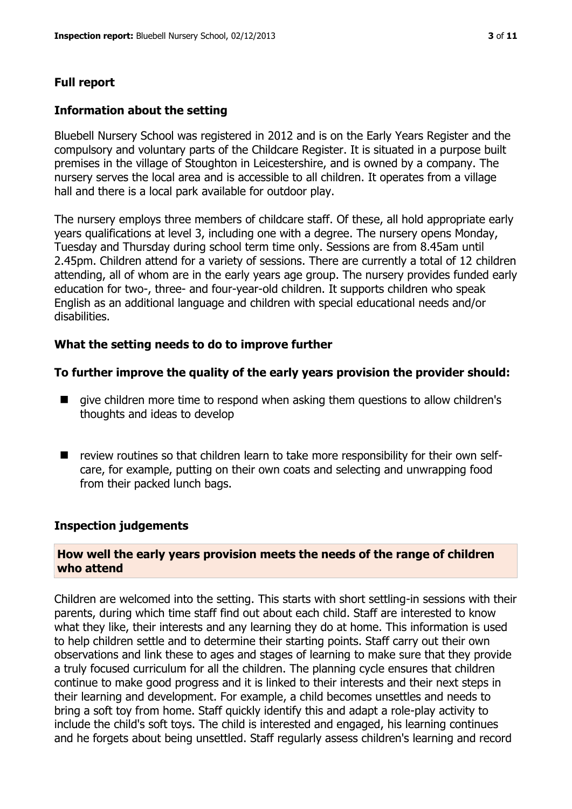# **Full report**

#### **Information about the setting**

Bluebell Nursery School was registered in 2012 and is on the Early Years Register and the compulsory and voluntary parts of the Childcare Register. It is situated in a purpose built premises in the village of Stoughton in Leicestershire, and is owned by a company. The nursery serves the local area and is accessible to all children. It operates from a village hall and there is a local park available for outdoor play.

The nursery employs three members of childcare staff. Of these, all hold appropriate early years qualifications at level 3, including one with a degree. The nursery opens Monday, Tuesday and Thursday during school term time only. Sessions are from 8.45am until 2.45pm. Children attend for a variety of sessions. There are currently a total of 12 children attending, all of whom are in the early years age group. The nursery provides funded early education for two-, three- and four-year-old children. It supports children who speak English as an additional language and children with special educational needs and/or disabilities.

#### **What the setting needs to do to improve further**

#### **To further improve the quality of the early years provision the provider should:**

- $\blacksquare$  give children more time to respond when asking them questions to allow children's thoughts and ideas to develop
- $\blacksquare$  review routines so that children learn to take more responsibility for their own selfcare, for example, putting on their own coats and selecting and unwrapping food from their packed lunch bags.

#### **Inspection judgements**

#### **How well the early years provision meets the needs of the range of children who attend**

Children are welcomed into the setting. This starts with short settling-in sessions with their parents, during which time staff find out about each child. Staff are interested to know what they like, their interests and any learning they do at home. This information is used to help children settle and to determine their starting points. Staff carry out their own observations and link these to ages and stages of learning to make sure that they provide a truly focused curriculum for all the children. The planning cycle ensures that children continue to make good progress and it is linked to their interests and their next steps in their learning and development. For example, a child becomes unsettles and needs to bring a soft toy from home. Staff quickly identify this and adapt a role-play activity to include the child's soft toys. The child is interested and engaged, his learning continues and he forgets about being unsettled. Staff regularly assess children's learning and record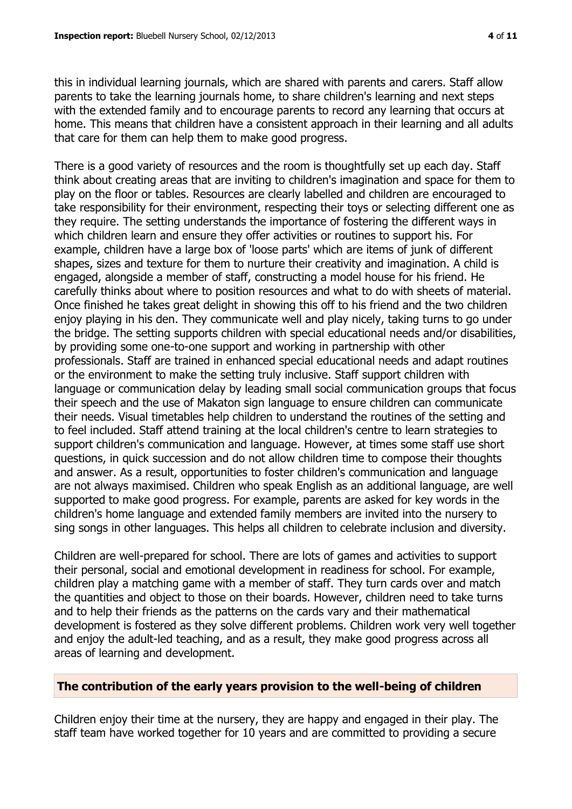this in individual learning journals, which are shared with parents and carers. Staff allow parents to take the learning journals home, to share children's learning and next steps with the extended family and to encourage parents to record any learning that occurs at home. This means that children have a consistent approach in their learning and all adults that care for them can help them to make good progress.

There is a good variety of resources and the room is thoughtfully set up each day. Staff think about creating areas that are inviting to children's imagination and space for them to play on the floor or tables. Resources are clearly labelled and children are encouraged to take responsibility for their environment, respecting their toys or selecting different one as they require. The setting understands the importance of fostering the different ways in which children learn and ensure they offer activities or routines to support his. For example, children have a large box of 'loose parts' which are items of junk of different shapes, sizes and texture for them to nurture their creativity and imagination. A child is engaged, alongside a member of staff, constructing a model house for his friend. He carefully thinks about where to position resources and what to do with sheets of material. Once finished he takes great delight in showing this off to his friend and the two children enjoy playing in his den. They communicate well and play nicely, taking turns to go under the bridge. The setting supports children with special educational needs and/or disabilities, by providing some one-to-one support and working in partnership with other professionals. Staff are trained in enhanced special educational needs and adapt routines or the environment to make the setting truly inclusive. Staff support children with language or communication delay by leading small social communication groups that focus their speech and the use of Makaton sign language to ensure children can communicate their needs. Visual timetables help children to understand the routines of the setting and to feel included. Staff attend training at the local children's centre to learn strategies to support children's communication and language. However, at times some staff use short questions, in quick succession and do not allow children time to compose their thoughts and answer. As a result, opportunities to foster children's communication and language are not always maximised. Children who speak English as an additional language, are well supported to make good progress. For example, parents are asked for key words in the children's home language and extended family members are invited into the nursery to sing songs in other languages. This helps all children to celebrate inclusion and diversity.

Children are well-prepared for school. There are lots of games and activities to support their personal, social and emotional development in readiness for school. For example, children play a matching game with a member of staff. They turn cards over and match the quantities and object to those on their boards. However, children need to take turns and to help their friends as the patterns on the cards vary and their mathematical development is fostered as they solve different problems. Children work very well together and enjoy the adult-led teaching, and as a result, they make good progress across all areas of learning and development.

#### **The contribution of the early years provision to the well-being of children**

Children enjoy their time at the nursery, they are happy and engaged in their play. The staff team have worked together for 10 years and are committed to providing a secure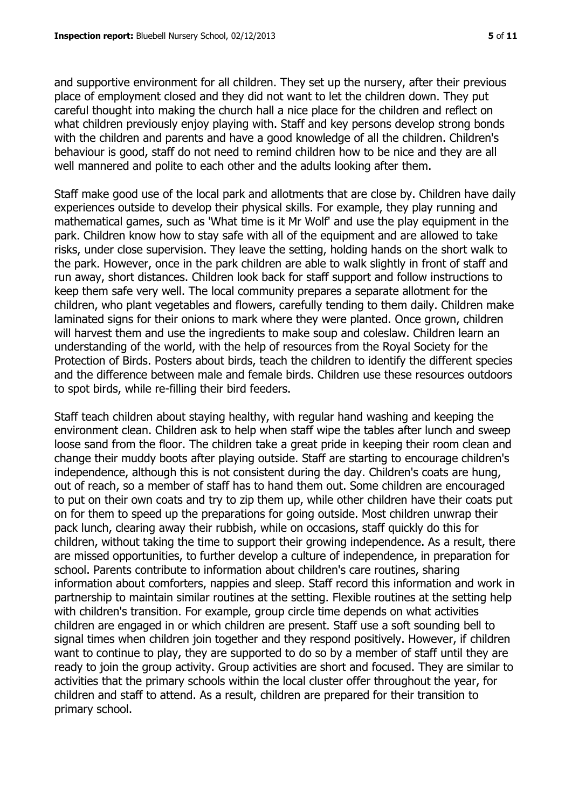and supportive environment for all children. They set up the nursery, after their previous place of employment closed and they did not want to let the children down. They put careful thought into making the church hall a nice place for the children and reflect on what children previously enjoy playing with. Staff and key persons develop strong bonds with the children and parents and have a good knowledge of all the children. Children's behaviour is good, staff do not need to remind children how to be nice and they are all well mannered and polite to each other and the adults looking after them.

Staff make good use of the local park and allotments that are close by. Children have daily experiences outside to develop their physical skills. For example, they play running and mathematical games, such as 'What time is it Mr Wolf' and use the play equipment in the park. Children know how to stay safe with all of the equipment and are allowed to take risks, under close supervision. They leave the setting, holding hands on the short walk to the park. However, once in the park children are able to walk slightly in front of staff and run away, short distances. Children look back for staff support and follow instructions to keep them safe very well. The local community prepares a separate allotment for the children, who plant vegetables and flowers, carefully tending to them daily. Children make laminated signs for their onions to mark where they were planted. Once grown, children will harvest them and use the ingredients to make soup and coleslaw. Children learn an understanding of the world, with the help of resources from the Royal Society for the Protection of Birds. Posters about birds, teach the children to identify the different species and the difference between male and female birds. Children use these resources outdoors to spot birds, while re-filling their bird feeders.

Staff teach children about staying healthy, with regular hand washing and keeping the environment clean. Children ask to help when staff wipe the tables after lunch and sweep loose sand from the floor. The children take a great pride in keeping their room clean and change their muddy boots after playing outside. Staff are starting to encourage children's independence, although this is not consistent during the day. Children's coats are hung, out of reach, so a member of staff has to hand them out. Some children are encouraged to put on their own coats and try to zip them up, while other children have their coats put on for them to speed up the preparations for going outside. Most children unwrap their pack lunch, clearing away their rubbish, while on occasions, staff quickly do this for children, without taking the time to support their growing independence. As a result, there are missed opportunities, to further develop a culture of independence, in preparation for school. Parents contribute to information about children's care routines, sharing information about comforters, nappies and sleep. Staff record this information and work in partnership to maintain similar routines at the setting. Flexible routines at the setting help with children's transition. For example, group circle time depends on what activities children are engaged in or which children are present. Staff use a soft sounding bell to signal times when children join together and they respond positively. However, if children want to continue to play, they are supported to do so by a member of staff until they are ready to join the group activity. Group activities are short and focused. They are similar to activities that the primary schools within the local cluster offer throughout the year, for children and staff to attend. As a result, children are prepared for their transition to primary school.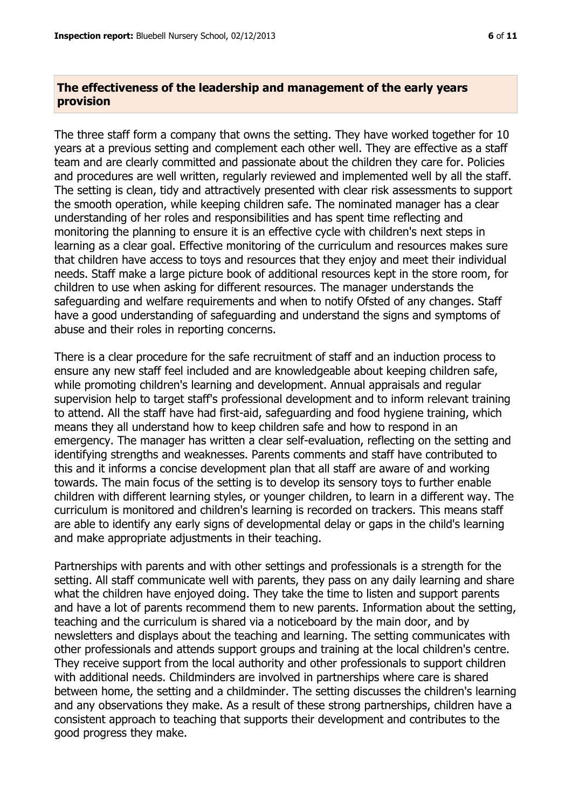### **The effectiveness of the leadership and management of the early years provision**

The three staff form a company that owns the setting. They have worked together for 10 years at a previous setting and complement each other well. They are effective as a staff team and are clearly committed and passionate about the children they care for. Policies and procedures are well written, regularly reviewed and implemented well by all the staff. The setting is clean, tidy and attractively presented with clear risk assessments to support the smooth operation, while keeping children safe. The nominated manager has a clear understanding of her roles and responsibilities and has spent time reflecting and monitoring the planning to ensure it is an effective cycle with children's next steps in learning as a clear goal. Effective monitoring of the curriculum and resources makes sure that children have access to toys and resources that they enjoy and meet their individual needs. Staff make a large picture book of additional resources kept in the store room, for children to use when asking for different resources. The manager understands the safeguarding and welfare requirements and when to notify Ofsted of any changes. Staff have a good understanding of safeguarding and understand the signs and symptoms of abuse and their roles in reporting concerns.

There is a clear procedure for the safe recruitment of staff and an induction process to ensure any new staff feel included and are knowledgeable about keeping children safe, while promoting children's learning and development. Annual appraisals and regular supervision help to target staff's professional development and to inform relevant training to attend. All the staff have had first-aid, safeguarding and food hygiene training, which means they all understand how to keep children safe and how to respond in an emergency. The manager has written a clear self-evaluation, reflecting on the setting and identifying strengths and weaknesses. Parents comments and staff have contributed to this and it informs a concise development plan that all staff are aware of and working towards. The main focus of the setting is to develop its sensory toys to further enable children with different learning styles, or younger children, to learn in a different way. The curriculum is monitored and children's learning is recorded on trackers. This means staff are able to identify any early signs of developmental delay or gaps in the child's learning and make appropriate adjustments in their teaching.

Partnerships with parents and with other settings and professionals is a strength for the setting. All staff communicate well with parents, they pass on any daily learning and share what the children have enjoyed doing. They take the time to listen and support parents and have a lot of parents recommend them to new parents. Information about the setting, teaching and the curriculum is shared via a noticeboard by the main door, and by newsletters and displays about the teaching and learning. The setting communicates with other professionals and attends support groups and training at the local children's centre. They receive support from the local authority and other professionals to support children with additional needs. Childminders are involved in partnerships where care is shared between home, the setting and a childminder. The setting discusses the children's learning and any observations they make. As a result of these strong partnerships, children have a consistent approach to teaching that supports their development and contributes to the good progress they make.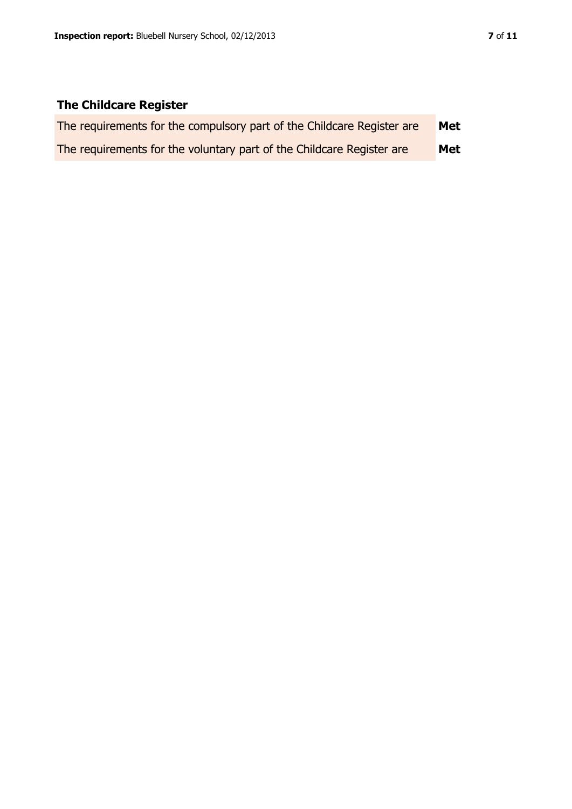# **The Childcare Register**

| The requirements for the compulsory part of the Childcare Register are | Met |
|------------------------------------------------------------------------|-----|
| The requirements for the voluntary part of the Childcare Register are  | Met |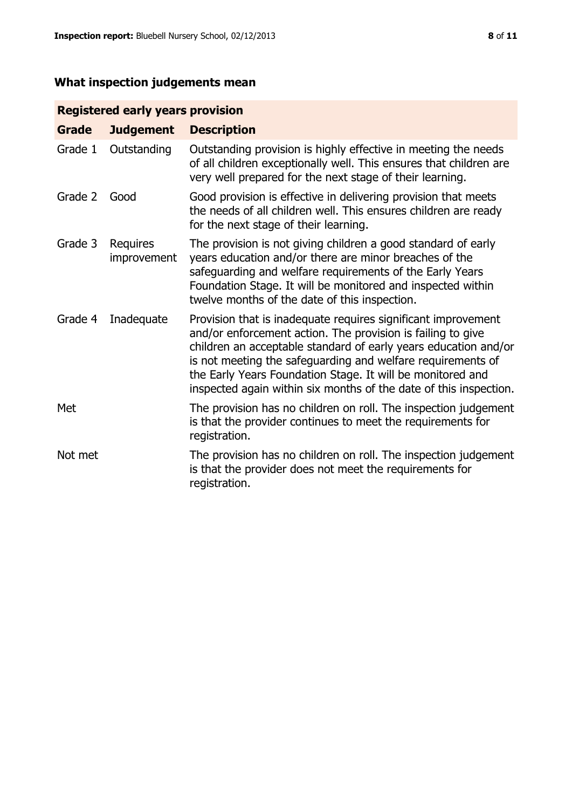# **What inspection judgements mean**

# **Registered early years provision**

| <b>Grade</b> | <b>Judgement</b>        | <b>Description</b>                                                                                                                                                                                                                                                                                                                                                                                |
|--------------|-------------------------|---------------------------------------------------------------------------------------------------------------------------------------------------------------------------------------------------------------------------------------------------------------------------------------------------------------------------------------------------------------------------------------------------|
| Grade 1      | Outstanding             | Outstanding provision is highly effective in meeting the needs<br>of all children exceptionally well. This ensures that children are<br>very well prepared for the next stage of their learning.                                                                                                                                                                                                  |
| Grade 2      | Good                    | Good provision is effective in delivering provision that meets<br>the needs of all children well. This ensures children are ready<br>for the next stage of their learning.                                                                                                                                                                                                                        |
| Grade 3      | Requires<br>improvement | The provision is not giving children a good standard of early<br>years education and/or there are minor breaches of the<br>safeguarding and welfare requirements of the Early Years<br>Foundation Stage. It will be monitored and inspected within<br>twelve months of the date of this inspection.                                                                                               |
| Grade 4      | Inadequate              | Provision that is inadequate requires significant improvement<br>and/or enforcement action. The provision is failing to give<br>children an acceptable standard of early years education and/or<br>is not meeting the safeguarding and welfare requirements of<br>the Early Years Foundation Stage. It will be monitored and<br>inspected again within six months of the date of this inspection. |
| Met          |                         | The provision has no children on roll. The inspection judgement<br>is that the provider continues to meet the requirements for<br>registration.                                                                                                                                                                                                                                                   |
| Not met      |                         | The provision has no children on roll. The inspection judgement<br>is that the provider does not meet the requirements for<br>registration.                                                                                                                                                                                                                                                       |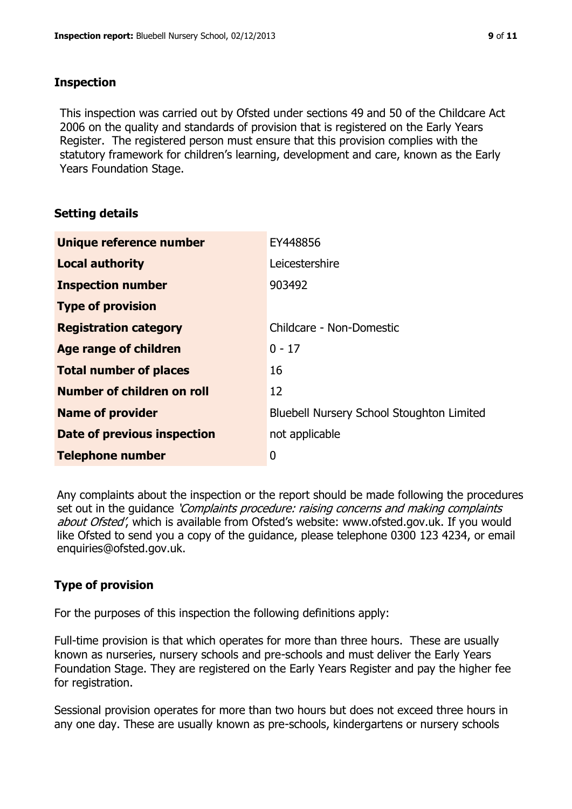#### **Inspection**

This inspection was carried out by Ofsted under sections 49 and 50 of the Childcare Act 2006 on the quality and standards of provision that is registered on the Early Years Register. The registered person must ensure that this provision complies with the statutory framework for children's learning, development and care, known as the Early Years Foundation Stage.

# **Setting details**

| Unique reference number       | EY448856                                         |
|-------------------------------|--------------------------------------------------|
| <b>Local authority</b>        | Leicestershire                                   |
| <b>Inspection number</b>      | 903492                                           |
| <b>Type of provision</b>      |                                                  |
| <b>Registration category</b>  | Childcare - Non-Domestic                         |
| Age range of children         | $0 - 17$                                         |
| <b>Total number of places</b> | 16                                               |
| Number of children on roll    | 12                                               |
| <b>Name of provider</b>       | <b>Bluebell Nursery School Stoughton Limited</b> |
| Date of previous inspection   | not applicable                                   |
| <b>Telephone number</b>       | 0                                                |

Any complaints about the inspection or the report should be made following the procedures set out in the guidance *'Complaints procedure: raising concerns and making complaints* about Ofsted', which is available from Ofsted's website: www.ofsted.gov.uk. If you would like Ofsted to send you a copy of the guidance, please telephone 0300 123 4234, or email enquiries@ofsted.gov.uk.

# **Type of provision**

For the purposes of this inspection the following definitions apply:

Full-time provision is that which operates for more than three hours. These are usually known as nurseries, nursery schools and pre-schools and must deliver the Early Years Foundation Stage. They are registered on the Early Years Register and pay the higher fee for registration.

Sessional provision operates for more than two hours but does not exceed three hours in any one day. These are usually known as pre-schools, kindergartens or nursery schools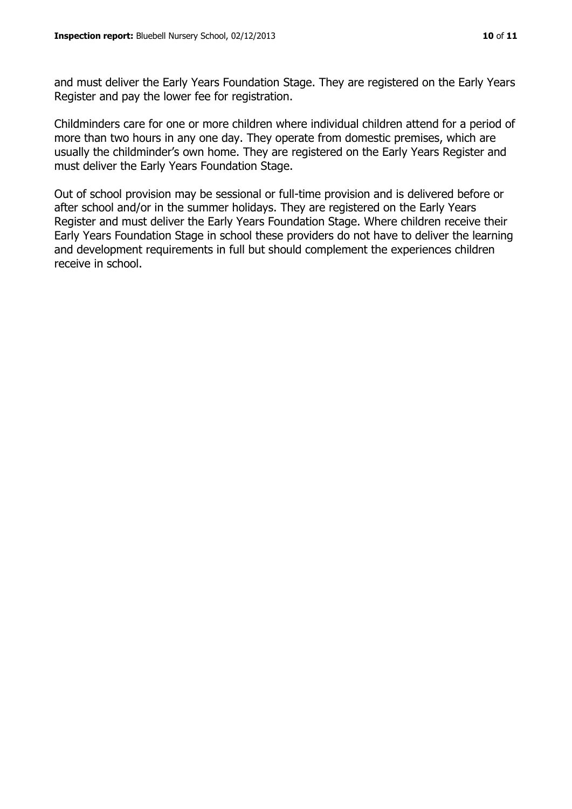and must deliver the Early Years Foundation Stage. They are registered on the Early Years Register and pay the lower fee for registration.

Childminders care for one or more children where individual children attend for a period of more than two hours in any one day. They operate from domestic premises, which are usually the childminder's own home. They are registered on the Early Years Register and must deliver the Early Years Foundation Stage.

Out of school provision may be sessional or full-time provision and is delivered before or after school and/or in the summer holidays. They are registered on the Early Years Register and must deliver the Early Years Foundation Stage. Where children receive their Early Years Foundation Stage in school these providers do not have to deliver the learning and development requirements in full but should complement the experiences children receive in school.